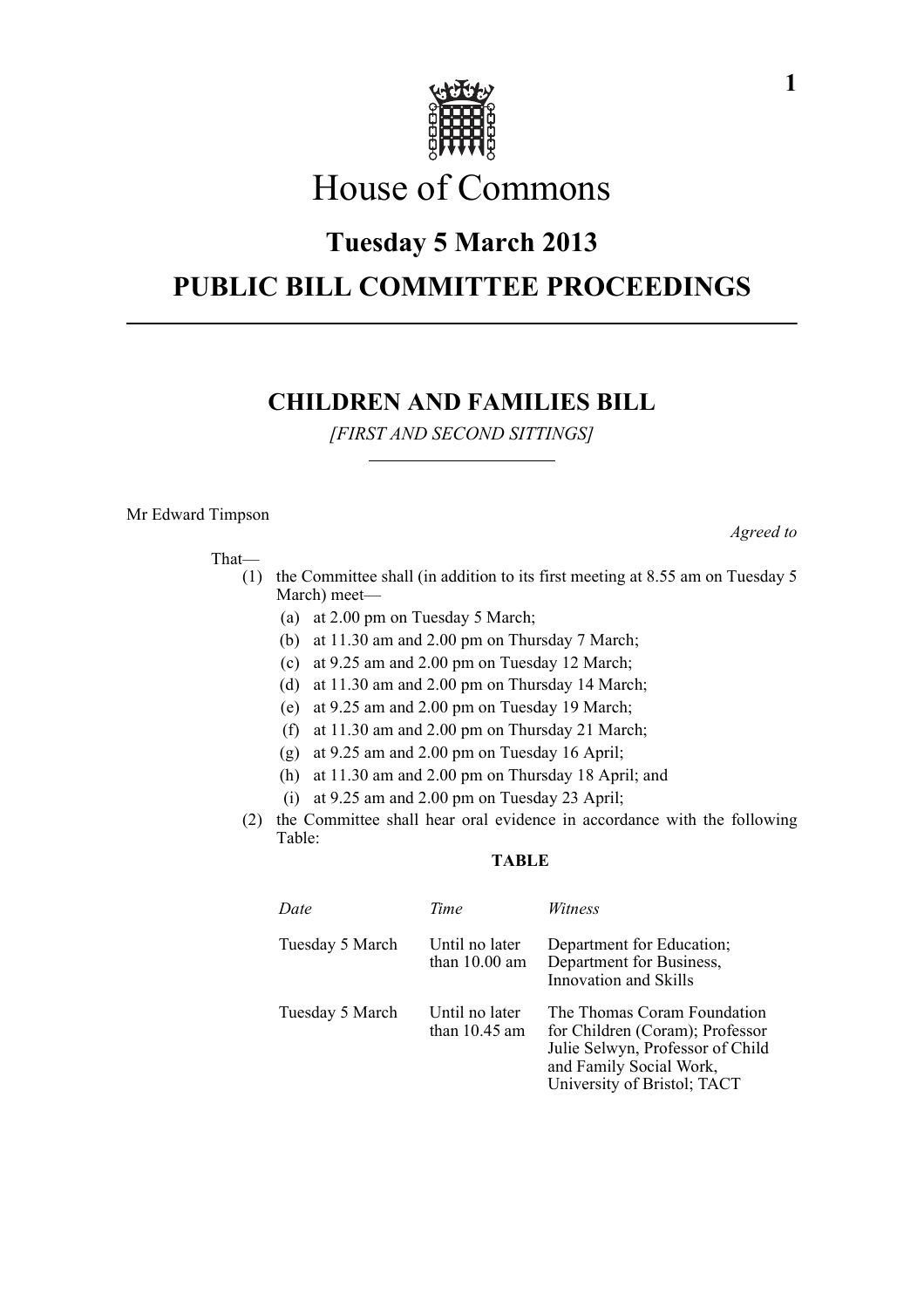

# House of Commons

# **Tuesday 5 March 2013**

# **PUBLIC BILL COMMITTEE PROCEEDINGS**

## **CHILDREN AND FAMILIES BILL**

*[FIRST AND SECOND SITTINGS]*

#### Mr Edward Timpson

That—

- (1) the Committee shall (in addition to its first meeting at 8.55 am on Tuesday 5 March) meet—
	- (a) at 2.00 pm on Tuesday 5 March;
	- (b) at 11.30 am and 2.00 pm on Thursday 7 March;
	- (c) at 9.25 am and 2.00 pm on Tuesday 12 March;
	- (d) at 11.30 am and 2.00 pm on Thursday 14 March;
	- (e) at 9.25 am and 2.00 pm on Tuesday 19 March;
	- (f) at 11.30 am and 2.00 pm on Thursday 21 March;
	- (g) at 9.25 am and 2.00 pm on Tuesday 16 April;
	- (h) at 11.30 am and 2.00 pm on Thursday 18 April; and
	- (i) at 9.25 am and 2.00 pm on Tuesday 23 April;
- (2) the Committee shall hear oral evidence in accordance with the following Table:

### **TABLE**

| Date            | Time                              | <i>Witness</i>                                                                                                                                               |
|-----------------|-----------------------------------|--------------------------------------------------------------------------------------------------------------------------------------------------------------|
| Tuesday 5 March | Until no later<br>than $10.00$ am | Department for Education;<br>Department for Business,<br>Innovation and Skills                                                                               |
| Tuesday 5 March | Until no later<br>than $10.45$ am | The Thomas Coram Foundation<br>for Children (Coram); Professor<br>Julie Selwyn, Professor of Child<br>and Family Social Work,<br>University of Bristol; TACT |

*Agreed to*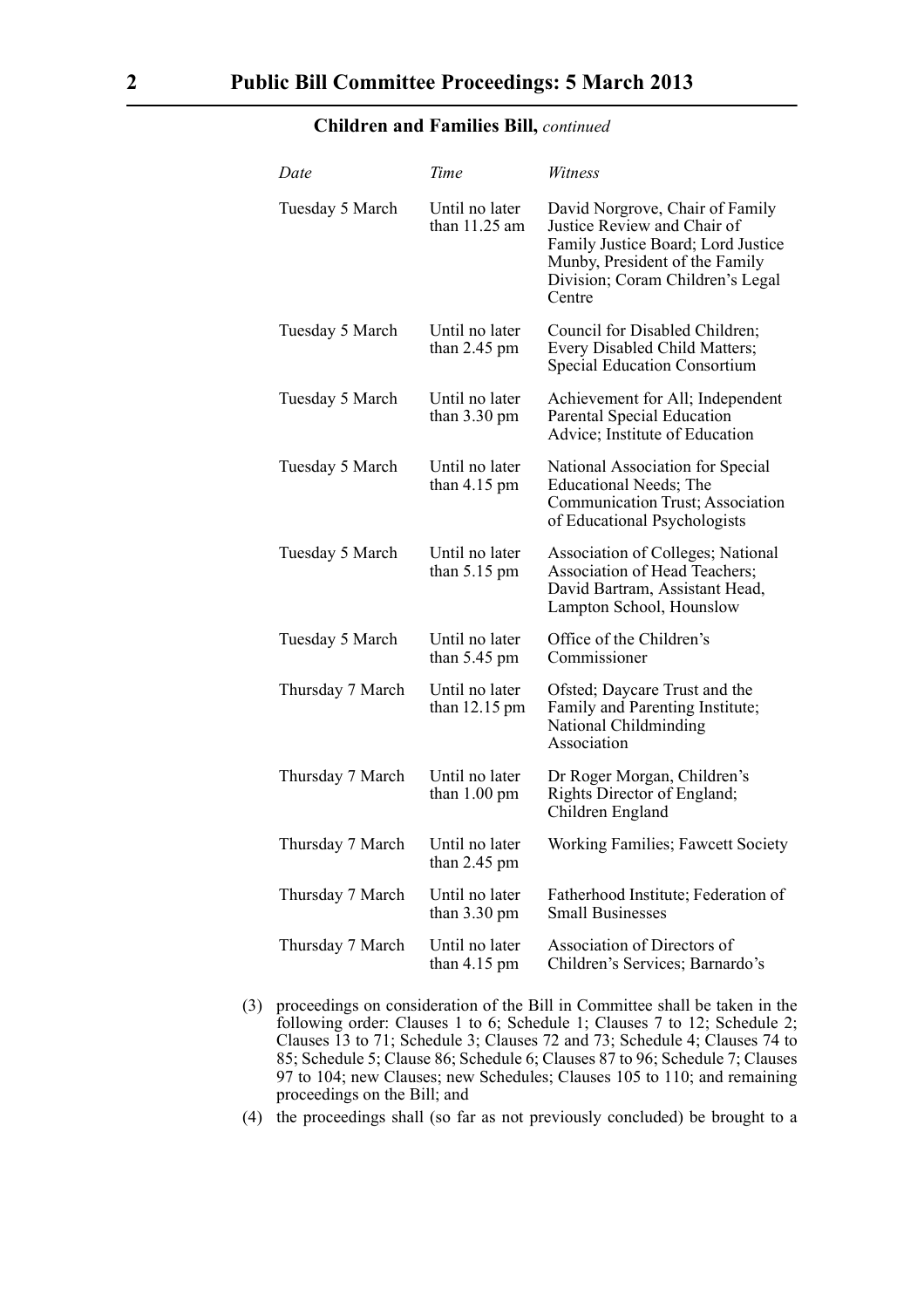### **Children and Families Bill,** *continued*

| Date             | Time                                     | Witness                                                                                                                                                                              |
|------------------|------------------------------------------|--------------------------------------------------------------------------------------------------------------------------------------------------------------------------------------|
| Tuesday 5 March  | Until no later<br>than $11.25$ am        | David Norgrove, Chair of Family<br>Justice Review and Chair of<br>Family Justice Board; Lord Justice<br>Munby, President of the Family<br>Division; Coram Children's Legal<br>Centre |
| Tuesday 5 March  | Until no later<br>than $2.45$ pm         | Council for Disabled Children;<br>Every Disabled Child Matters;<br><b>Special Education Consortium</b>                                                                               |
| Tuesday 5 March  | Until no later<br>than $3.30 \text{ pm}$ | Achievement for All; Independent<br>Parental Special Education<br>Advice; Institute of Education                                                                                     |
| Tuesday 5 March  | Until no later<br>than $4.15$ pm         | National Association for Special<br><b>Educational Needs</b> ; The<br>Communication Trust; Association<br>of Educational Psychologists                                               |
| Tuesday 5 March  | Until no later<br>than $5.15 \text{ pm}$ | <b>Association of Colleges; National</b><br>Association of Head Teachers;<br>David Bartram, Assistant Head,<br>Lampton School, Hounslow                                              |
| Tuesday 5 March  | Until no later<br>than $5.45$ pm         | Office of the Children's<br>Commissioner                                                                                                                                             |
| Thursday 7 March | Until no later<br>than 12.15 pm          | Ofsted; Daycare Trust and the<br>Family and Parenting Institute;<br>National Childminding<br>Association                                                                             |
| Thursday 7 March | Until no later<br>than 1.00 pm           | Dr Roger Morgan, Children's<br>Rights Director of England;<br>Children England                                                                                                       |
| Thursday 7 March | Until no later<br>than $2.45$ pm         | Working Families; Fawcett Society                                                                                                                                                    |
| Thursday 7 March | Until no later<br>than $3.30 \text{ pm}$ | Fatherhood Institute; Federation of<br><b>Small Businesses</b>                                                                                                                       |
| Thursday 7 March | Until no later<br>than $4.15 \text{ pm}$ | Association of Directors of<br>Children's Services; Barnardo's                                                                                                                       |

- (3) proceedings on consideration of the Bill in Committee shall be taken in the following order: Clauses 1 to 6; Schedule 1; Clauses 7 to 12; Schedule 2; Clauses 13 to 71; Schedule 3; Clauses 72 and 73; Schedule 4; Clauses 74 to 85; Schedule 5; Clause 86; Schedule 6; Clauses 87 to 96; Schedule 7; Clauses 97 to 104; new Clauses; new Schedules; Clauses 105 to 110; and remaining proceedings on the Bill; and
- (4) the proceedings shall (so far as not previously concluded) be brought to a